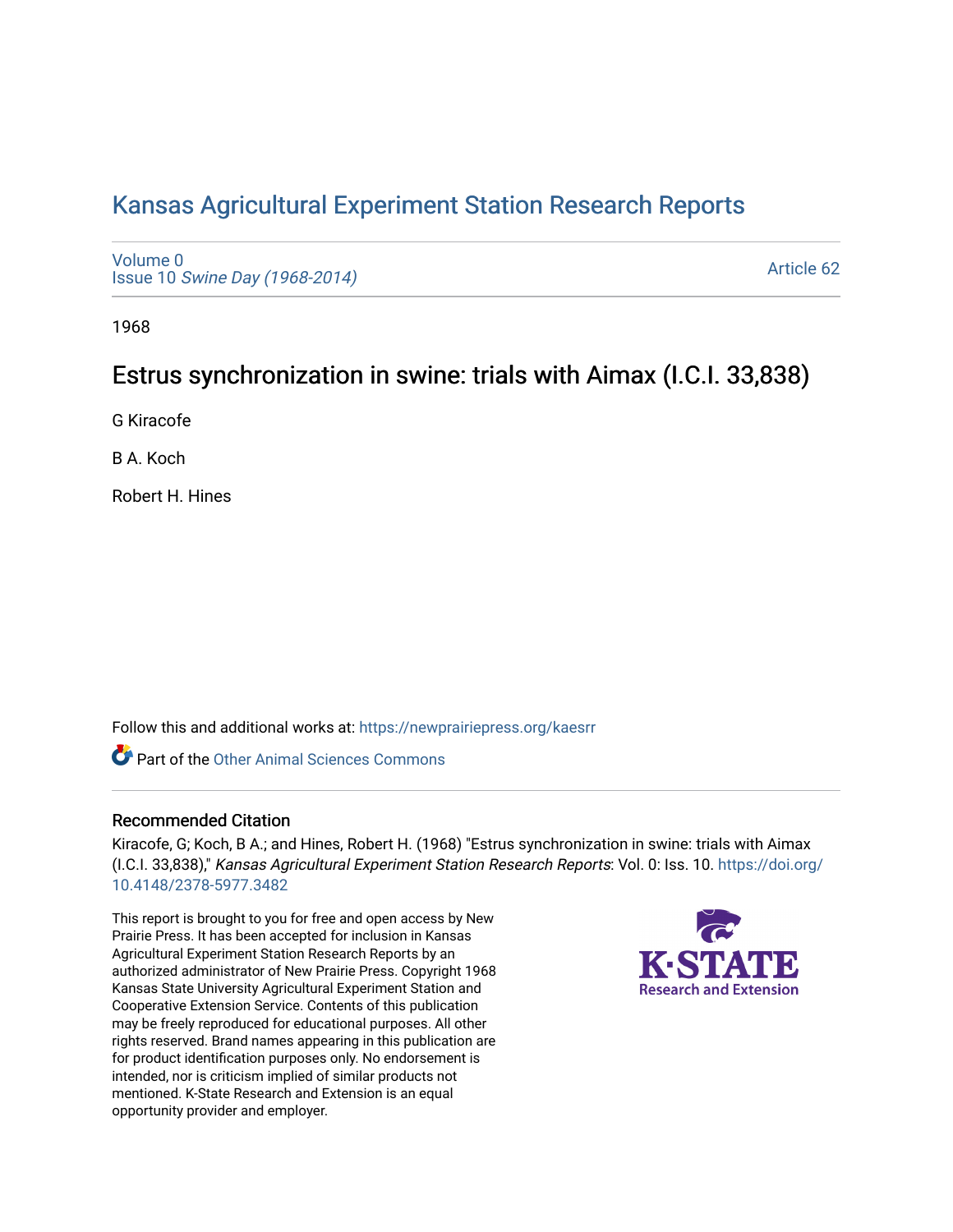# [Kansas Agricultural Experiment Station Research Reports](https://newprairiepress.org/kaesrr)

[Volume 0](https://newprairiepress.org/kaesrr/vol0) Issue 10 [Swine Day \(1968-2014\)](https://newprairiepress.org/kaesrr/vol0/iss10)

[Article 62](https://newprairiepress.org/kaesrr/vol0/iss10/62) 

1968

## Estrus synchronization in swine: trials with Aimax (I.C.I. 33,838)

G Kiracofe

B A. Koch

Robert H. Hines

Follow this and additional works at: [https://newprairiepress.org/kaesrr](https://newprairiepress.org/kaesrr?utm_source=newprairiepress.org%2Fkaesrr%2Fvol0%2Fiss10%2F62&utm_medium=PDF&utm_campaign=PDFCoverPages) 

**C** Part of the [Other Animal Sciences Commons](http://network.bepress.com/hgg/discipline/82?utm_source=newprairiepress.org%2Fkaesrr%2Fvol0%2Fiss10%2F62&utm_medium=PDF&utm_campaign=PDFCoverPages)

#### Recommended Citation

Kiracofe, G; Koch, B A.; and Hines, Robert H. (1968) "Estrus synchronization in swine: trials with Aimax (I.C.I. 33,838)," Kansas Agricultural Experiment Station Research Reports: Vol. 0: Iss. 10. [https://doi.org/](https://doi.org/10.4148/2378-5977.3482) [10.4148/2378-5977.3482](https://doi.org/10.4148/2378-5977.3482)

This report is brought to you for free and open access by New Prairie Press. It has been accepted for inclusion in Kansas Agricultural Experiment Station Research Reports by an authorized administrator of New Prairie Press. Copyright 1968 Kansas State University Agricultural Experiment Station and Cooperative Extension Service. Contents of this publication may be freely reproduced for educational purposes. All other rights reserved. Brand names appearing in this publication are for product identification purposes only. No endorsement is intended, nor is criticism implied of similar products not mentioned. K-State Research and Extension is an equal opportunity provider and employer.

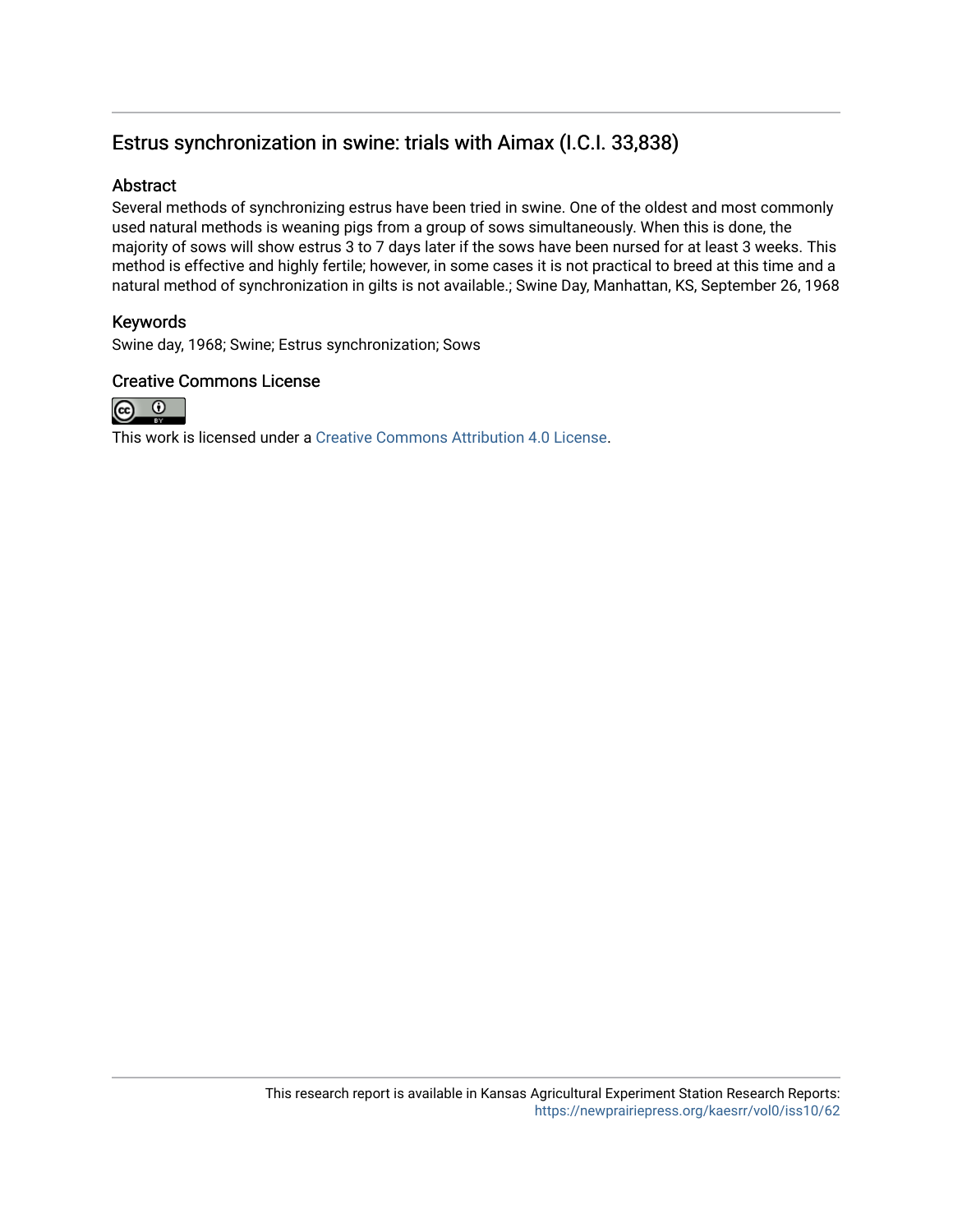### Estrus synchronization in swine: trials with Aimax (I.C.I. 33,838)

#### Abstract

Several methods of synchronizing estrus have been tried in swine. One of the oldest and most commonly used natural methods is weaning pigs from a group of sows simultaneously. When this is done, the majority of sows will show estrus 3 to 7 days later if the sows have been nursed for at least 3 weeks. This method is effective and highly fertile; however, in some cases it is not practical to breed at this time and a natural method of synchronization in gilts is not available.; Swine Day, Manhattan, KS, September 26, 1968

#### Keywords

Swine day, 1968; Swine; Estrus synchronization; Sows

#### Creative Commons License



This work is licensed under a [Creative Commons Attribution 4.0 License](https://creativecommons.org/licenses/by/4.0/).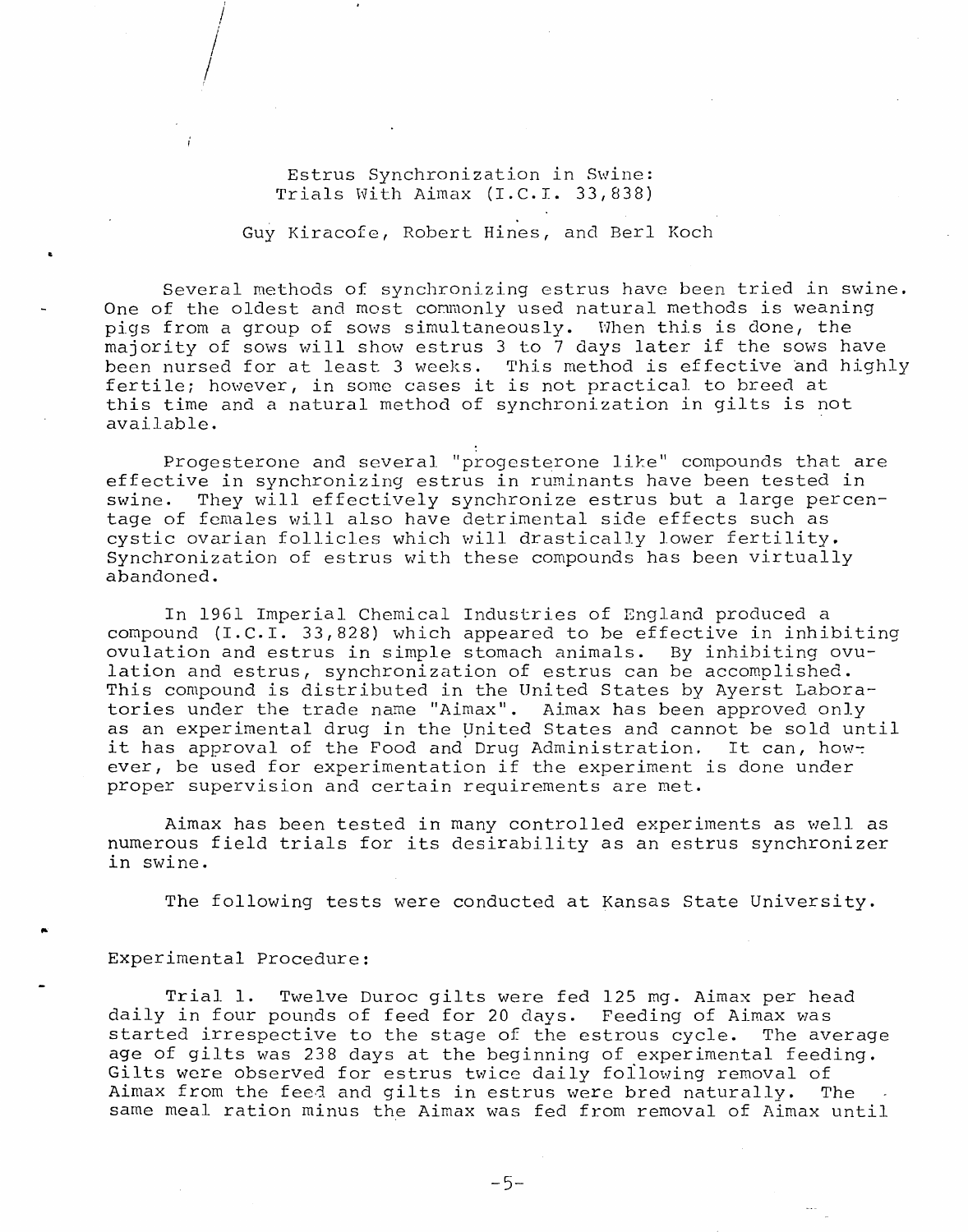Estrus Synchronization in Swine: Trials With Aimax (I.C.I. 33,838)

Guy Kiracofe, Robert Hines, and Berl Koch

Several methods of synchronizing estrus have been tried in swine. One of the oldest and most commonly used natural methods is weaning pigs from a group of sows simultaneously. When this is done, the majority of sows will show estrus 3 to 7 days later if the sows have been nursed for at least 3 weeks. This method is effective and highly fertile; however, in some cases it is not practical to breed at this time and a natural method of synchronization in gilts is not available.

Progesterone and several "progesterone like" compounds that are effective in synchronizing estrus in ruminants have been tested in swine. They will effectively synchronize estrus but a large percentage of females will also have detrimental side effects such as cystic ovarian follicles which will drastically lower fertility. Synchronization of estrus with these compounds has been virtually abandoned.

In 1961 Imperial Chemical Industries of England produced a compound (I.C.I. 33,828) which appeared to be effective in inhibiting ovulation and estrus in simple stomach animals. By inhibiting ovulation and estrus, synchronization of estrus can be accomplished. This compound is distributed in the United States by Ayerst Laboratories under the trade name "Aimax". Aimax has been approved only as an experimental drug in the United States and cannot be sold until it has approval of the Food and Drug Administration. It can, however, be used for experimentation if the experiment is done under proper supervision and certain requirements are met.

Aimax has been tested in many controlled experiments as well as numerous field trials for its desirability as an estrus synchronizer in swine.

The following tests were conducted at Kansas State University.

#### Experimental Procedure:

Twelve Duroc gilts were fed 125 mg. Aimax per head Trial 1. daily in four pounds of feed for 20 days. Feeding of Aimax was started irrespective to the stage of the estrous cycle. The average age of gilts was 238 days at the beginning of experimental feeding. Gilts were observed for estrus twice daily following removal of Aimax from the feed and gilts in estrus were bred naturally. The same meal ration minus the Aimax was fed from removal of Aimax until

 $-5-$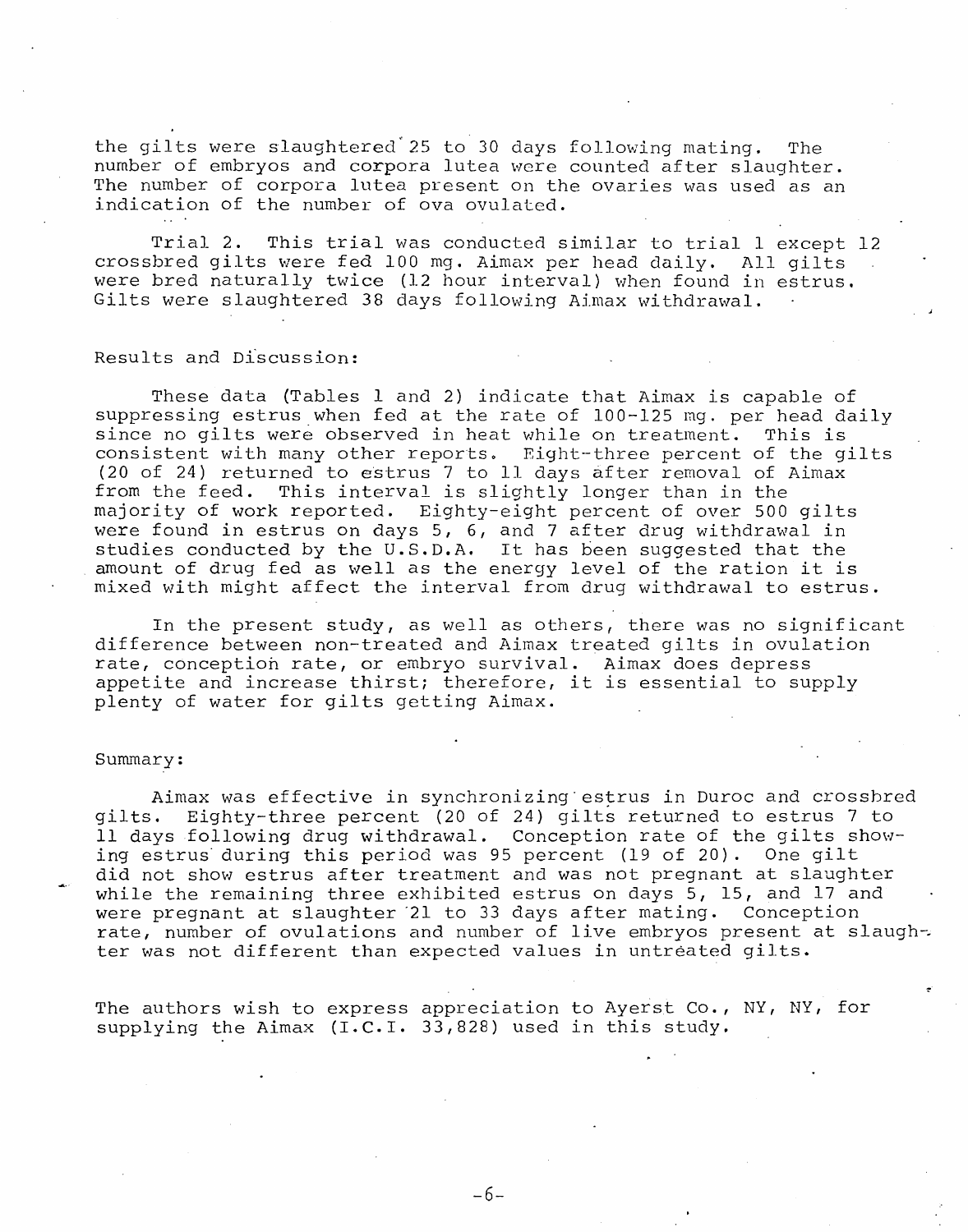the gilts were slaughtered 25 to 30 days following mating. The number of embryos and corpora lutea were counted after slaughter. The number of corpora lutea present on the ovaries was used as an indication of the number of ova ovulated.

Trial 2. This trial was conducted similar to trial 1 except 12 crossbred gilts were fed 100 mg. Aimax per head daily. All gilts were bred naturally twice (12 hour interval) when found in estrus. Gilts were slaughtered 38 days following Aimax withdrawal.

#### Results and Discussion:

These data (Tables 1 and 2) indicate that Aimax is capable of suppressing estrus when fed at the rate of 100-125 mg. per head daily since no gilts were observed in heat while on treatment. This is consistent with many other reports. Eight-three percent of the gilts (20 of 24) returned to estrus 7 to 11 days after removal of Aimax from the feed. This interval is slightly longer than in the majority of work reported. Eighty-eight percent of over 500 gilts were found in estrus on days 5, 6, and 7 after drug withdrawal in studies conducted by the U.S.D.A. It has been suggested that the amount of drug fed as well as the energy level of the ration it is mixed with might affect the interval from drug withdrawal to estrus.

In the present study, as well as others, there was no significant difference between non-treated and Aimax treated gilts in ovulation rate, conception rate, or embryo survival. Aimax does depress appetite and increase thirst; therefore, it is essential to supply plenty of water for gilts getting Aimax.

#### Summary:

Aimax was effective in synchronizing estrus in Duroc and crossbred gilts. Eighty-three percent (20 of 24) gilts returned to estrus 7 to 11 days following drug withdrawal. Conception rate of the gilts showing estrus during this period was 95 percent (19 of 20). One gilt did not show estrus after treatment and was not pregnant at slaughter while the remaining three exhibited estrus on days 5, 15, and 17 and were pregnant at slaughter 21 to 33 days after mating. Conception rate, number of ovulations and number of live embryos present at slaughter was not different than expected values in untreated gilts.

The authors wish to express appreciation to Ayerst Co., NY, NY, for supplying the Aimax (I.C.I. 33,828) used in this study.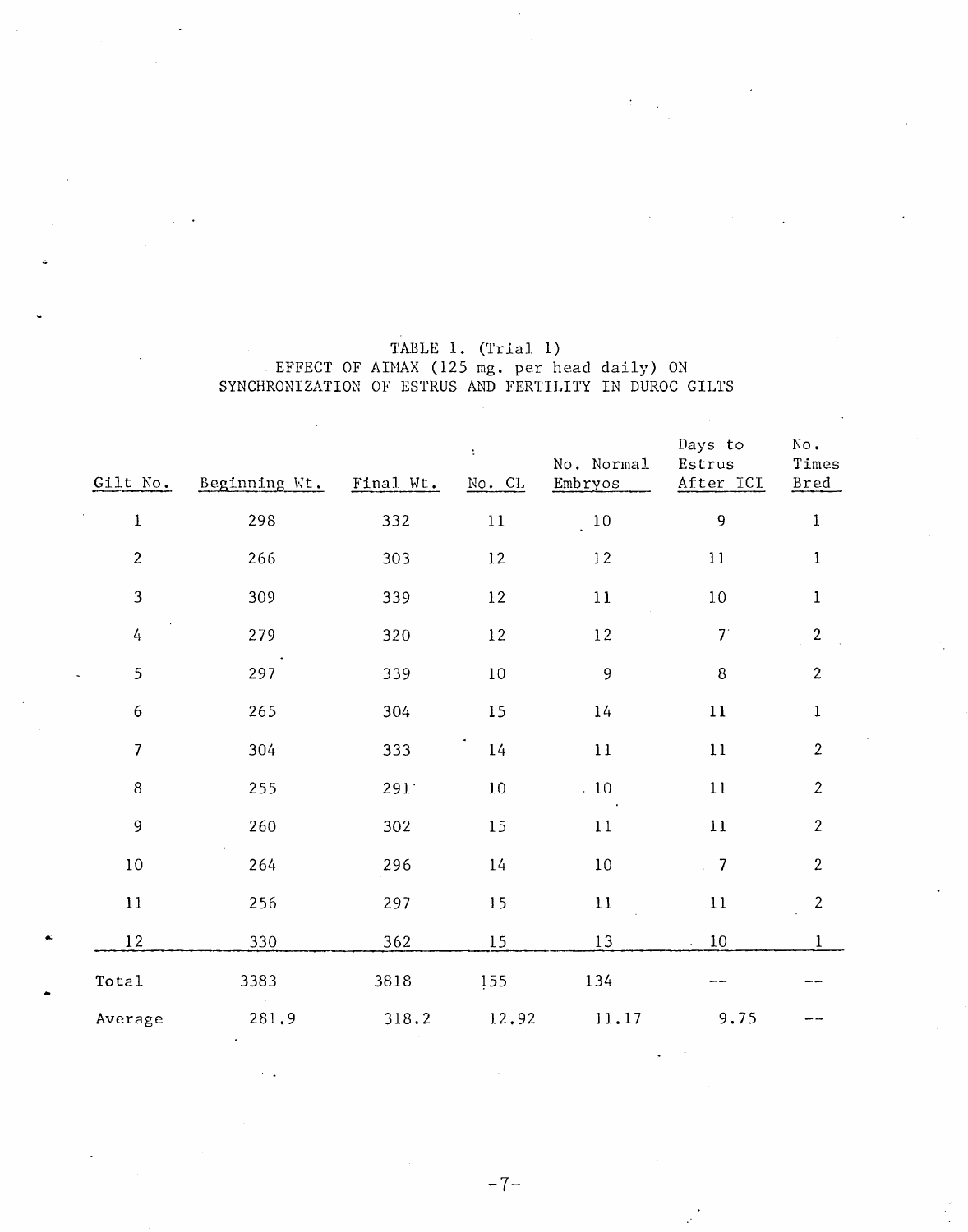|                  |               |           | $\ddot{\cdot}$ | No. Normal | Days to<br>Estrus        | No.<br>Times     |
|------------------|---------------|-----------|----------------|------------|--------------------------|------------------|
| Gilt No.         | Beginning Wt. | Final Wt. | No. CL         | Embryos    | After ICI                | <b>Bred</b>      |
| $\mathbf{1}$     | 298           | 332       | $1\,1$         | $10\,$     | 9                        | $\bf 1$          |
| $\overline{2}$   | 266           | 303       | 12             | $12\,$     | $11\,$                   | $\mathbf{1}$     |
| $\mathbf{3}$     | 309           | 339       | $12 \,$        | 11         | $10\,$                   | $\mathbf{1}$     |
| 4                | 279           | 320       | $1\sqrt{2}$    | $12$       | 7 <sup>1</sup>           | $\overline{2}$   |
| 5                | 297           | 339       | $10\,$         | 9          | $\bf 8$                  | $\overline{c}$   |
| $\boldsymbol{6}$ | 265           | 304       | 15             | 14         | $1\,1$                   | $\mathbf{1}$     |
| $\overline{7}$   | 304           | 333       | 14             | 11         | $11\,$                   | $\boldsymbol{2}$ |
| 8                | 255           | 291       | $10\,$         | $10\,$     | $11\,$                   | $\overline{2}$   |
| 9                | 260           | 302       | 15             | 11         | $11\,$                   | $\overline{2}$   |
| $10\,$           | 264           | 296       | 14             | $10\,$     | $\overline{\phantom{0}}$ | $\overline{c}$   |
| $11\,$           | 256           | 297       | 15             | $11\,$     | 11                       | $\mathbf{2}$     |
| 12               | 330           | 362       | 15             | 13         | $10\,$                   | $\mathbf{1}$     |
| Total            | 3383          | 3818      | 155            | 134        |                          |                  |
| Average          | 281.9         | 318.2     | 12.92          | 11.17      | 9.75                     |                  |

# TABLE 1. (Trial 1)<br>EFFECT OF AIMAX (125 mg. per head daily) ON<br>SYNCHRONIZATION OF ESTRUS AND FERTILITY IN DUROC GILTS

 $-7-$